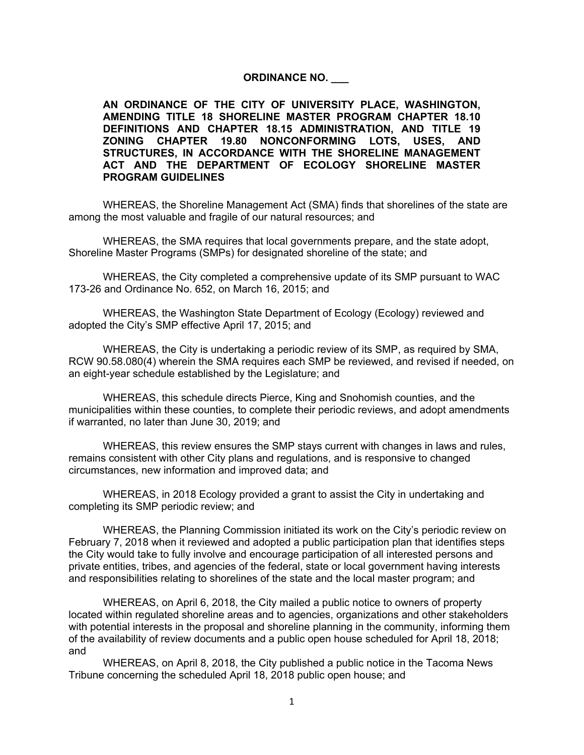## **ORDINANCE NO. \_\_\_**

**AN ORDINANCE OF THE CITY OF UNIVERSITY PLACE, WASHINGTON, AMENDING TITLE 18 SHORELINE MASTER PROGRAM CHAPTER 18.10 DEFINITIONS AND CHAPTER 18.15 ADMINISTRATION, AND TITLE 19 ZONING CHAPTER 19.80 NONCONFORMING LOTS, USES, AND STRUCTURES, IN ACCORDANCE WITH THE SHORELINE MANAGEMENT ACT AND THE DEPARTMENT OF ECOLOGY SHORELINE MASTER PROGRAM GUIDELINES**

WHEREAS, the Shoreline Management Act (SMA) finds that shorelines of the state are among the most valuable and fragile of our natural resources; and

WHEREAS, the SMA requires that local governments prepare, and the state adopt, Shoreline Master Programs (SMPs) for designated shoreline of the state; and

WHEREAS, the City completed a comprehensive update of its SMP pursuant to WAC 173-26 and Ordinance No. 652, on March 16, 2015; and

WHEREAS, the Washington State Department of Ecology (Ecology) reviewed and adopted the City's SMP effective April 17, 2015; and

WHEREAS, the City is undertaking a periodic review of its SMP, as required by SMA, RCW 90.58.080(4) wherein the SMA requires each SMP be reviewed, and revised if needed, on an eight-year schedule established by the Legislature; and

WHEREAS, this schedule directs Pierce, King and Snohomish counties, and the municipalities within these counties, to complete their periodic reviews, and adopt amendments if warranted, no later than June 30, 2019; and

WHEREAS, this review ensures the SMP stays current with changes in laws and rules, remains consistent with other City plans and regulations, and is responsive to changed circumstances, new information and improved data; and

WHEREAS, in 2018 Ecology provided a grant to assist the City in undertaking and completing its SMP periodic review; and

WHEREAS, the Planning Commission initiated its work on the City's periodic review on February 7, 2018 when it reviewed and adopted a public participation plan that identifies steps the City would take to fully involve and encourage participation of all interested persons and private entities, tribes, and agencies of the federal, state or local government having interests and responsibilities relating to shorelines of the state and the local master program; and

WHEREAS, on April 6, 2018, the City mailed a public notice to owners of property located within regulated shoreline areas and to agencies, organizations and other stakeholders with potential interests in the proposal and shoreline planning in the community, informing them of the availability of review documents and a public open house scheduled for April 18, 2018; and

WHEREAS, on April 8, 2018, the City published a public notice in the Tacoma News Tribune concerning the scheduled April 18, 2018 public open house; and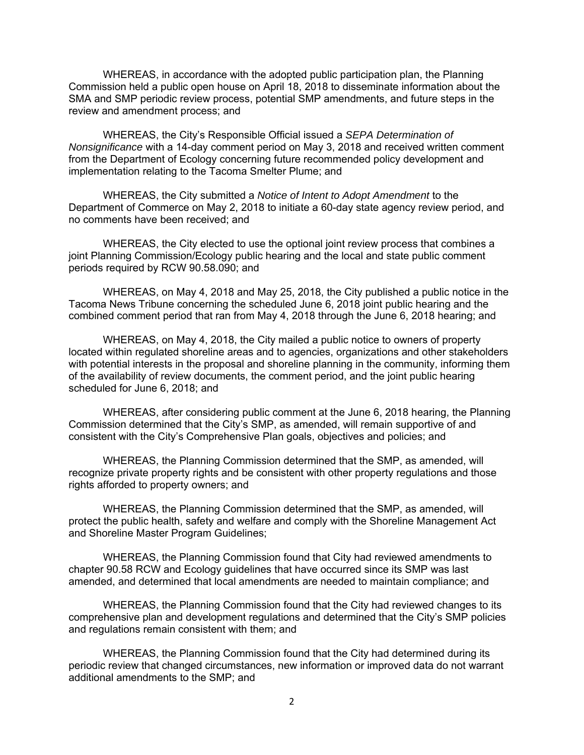WHEREAS, in accordance with the adopted public participation plan, the Planning Commission held a public open house on April 18, 2018 to disseminate information about the SMA and SMP periodic review process, potential SMP amendments, and future steps in the review and amendment process; and

WHEREAS, the City's Responsible Official issued a *SEPA Determination of Nonsignificance* with a 14-day comment period on May 3, 2018 and received written comment from the Department of Ecology concerning future recommended policy development and implementation relating to the Tacoma Smelter Plume; and

WHEREAS, the City submitted a *Notice of Intent to Adopt Amendment* to the Department of Commerce on May 2, 2018 to initiate a 60-day state agency review period, and no comments have been received; and

WHEREAS, the City elected to use the optional joint review process that combines a joint Planning Commission/Ecology public hearing and the local and state public comment periods required by RCW 90.58.090; and

WHEREAS, on May 4, 2018 and May 25, 2018, the City published a public notice in the Tacoma News Tribune concerning the scheduled June 6, 2018 joint public hearing and the combined comment period that ran from May 4, 2018 through the June 6, 2018 hearing; and

WHEREAS, on May 4, 2018, the City mailed a public notice to owners of property located within regulated shoreline areas and to agencies, organizations and other stakeholders with potential interests in the proposal and shoreline planning in the community, informing them of the availability of review documents, the comment period, and the joint public hearing scheduled for June 6, 2018; and

WHEREAS, after considering public comment at the June 6, 2018 hearing, the Planning Commission determined that the City's SMP, as amended, will remain supportive of and consistent with the City's Comprehensive Plan goals, objectives and policies; and

WHEREAS, the Planning Commission determined that the SMP, as amended, will recognize private property rights and be consistent with other property regulations and those rights afforded to property owners; and

WHEREAS, the Planning Commission determined that the SMP, as amended, will protect the public health, safety and welfare and comply with the Shoreline Management Act and Shoreline Master Program Guidelines;

WHEREAS, the Planning Commission found that City had reviewed amendments to chapter 90.58 RCW and Ecology guidelines that have occurred since its SMP was last amended, and determined that local amendments are needed to maintain compliance; and

WHEREAS, the Planning Commission found that the City had reviewed changes to its comprehensive plan and development regulations and determined that the City's SMP policies and regulations remain consistent with them; and

WHEREAS, the Planning Commission found that the City had determined during its periodic review that changed circumstances, new information or improved data do not warrant additional amendments to the SMP; and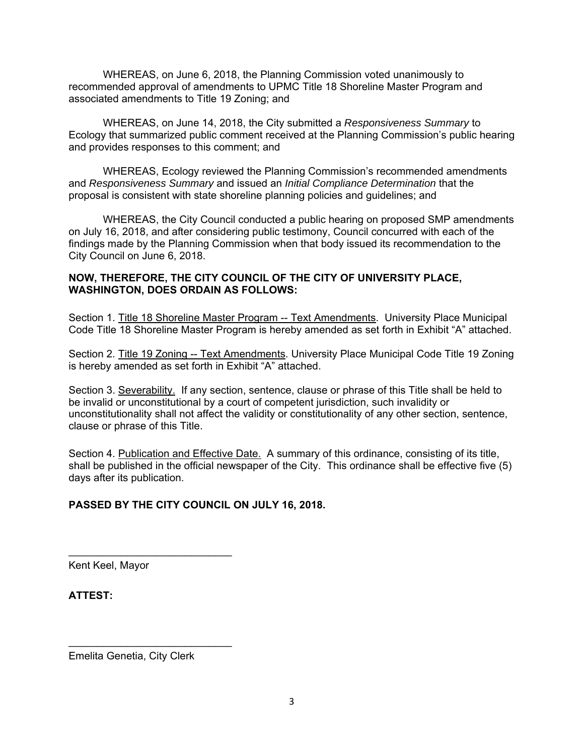WHEREAS, on June 6, 2018, the Planning Commission voted unanimously to recommended approval of amendments to UPMC Title 18 Shoreline Master Program and associated amendments to Title 19 Zoning; and

WHEREAS, on June 14, 2018, the City submitted a *Responsiveness Summary* to Ecology that summarized public comment received at the Planning Commission's public hearing and provides responses to this comment; and

WHEREAS, Ecology reviewed the Planning Commission's recommended amendments and *Responsiveness Summary* and issued an *Initial Compliance Determination* that the proposal is consistent with state shoreline planning policies and guidelines; and

WHEREAS, the City Council conducted a public hearing on proposed SMP amendments on July 16, 2018, and after considering public testimony, Council concurred with each of the findings made by the Planning Commission when that body issued its recommendation to the City Council on June 6, 2018.

## **NOW, THEREFORE, THE CITY COUNCIL OF THE CITY OF UNIVERSITY PLACE, WASHINGTON, DOES ORDAIN AS FOLLOWS:**

Section 1. Title 18 Shoreline Master Program -- Text Amendments. University Place Municipal Code Title 18 Shoreline Master Program is hereby amended as set forth in Exhibit "A" attached.

Section 2. Title 19 Zoning -- Text Amendments. University Place Municipal Code Title 19 Zoning is hereby amended as set forth in Exhibit "A" attached.

Section 3. Severability. If any section, sentence, clause or phrase of this Title shall be held to be invalid or unconstitutional by a court of competent jurisdiction, such invalidity or unconstitutionality shall not affect the validity or constitutionality of any other section, sentence, clause or phrase of this Title.

Section 4. Publication and Effective Date. A summary of this ordinance, consisting of its title, shall be published in the official newspaper of the City. This ordinance shall be effective five (5) days after its publication.

## **PASSED BY THE CITY COUNCIL ON JULY 16, 2018.**

Kent Keel, Mayor

**ATTEST:**

Emelita Genetia, City Clerk

 $\mathcal{L}_\text{max}$  , where  $\mathcal{L}_\text{max}$  and  $\mathcal{L}_\text{max}$ 

 $\mathcal{L}_\text{max}$  and  $\mathcal{L}_\text{max}$  and  $\mathcal{L}_\text{max}$  and  $\mathcal{L}_\text{max}$